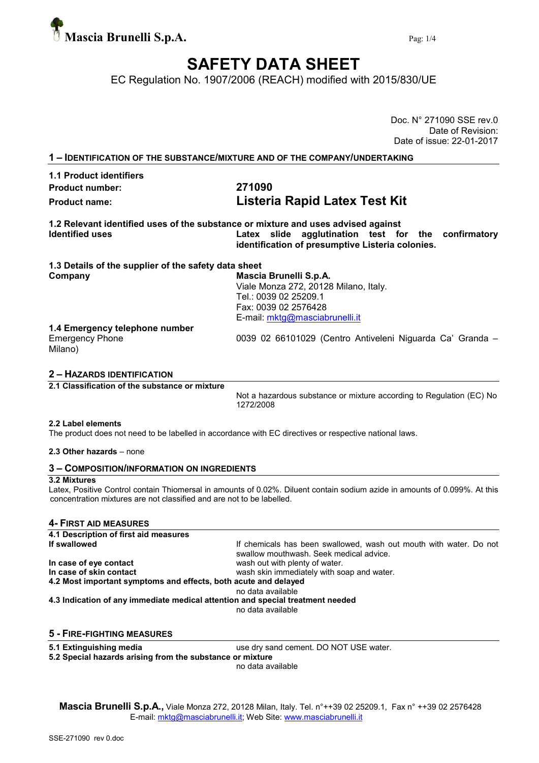

# SAFETY DATA SHEET

EC Regulation No. 1907/2006 (REACH) modified with 2015/830/UE

|                                                                                                             | Doc. N° 271090 SSE rev.0<br>Date of Revision:                                                                                                      |
|-------------------------------------------------------------------------------------------------------------|----------------------------------------------------------------------------------------------------------------------------------------------------|
|                                                                                                             | Date of issue: 22-01-2017                                                                                                                          |
| 1 - IDENTIFICATION OF THE SUBSTANCE/MIXTURE AND OF THE COMPANY/UNDERTAKING                                  |                                                                                                                                                    |
| <b>1.1 Product identifiers</b>                                                                              |                                                                                                                                                    |
| <b>Product number:</b>                                                                                      | 271090                                                                                                                                             |
| <b>Product name:</b>                                                                                        | Listeria Rapid Latex Test Kit                                                                                                                      |
| 1.2 Relevant identified uses of the substance or mixture and uses advised against<br><b>Identified uses</b> | Latex slide agglutination test for the<br>confirmatory<br>identification of presumptive Listeria colonies.                                         |
| 1.3 Details of the supplier of the safety data sheet<br>Company                                             | Mascia Brunelli S.p.A.<br>Viale Monza 272, 20128 Milano, Italy.<br>Tel.: 0039 02 25209.1<br>Fax: 0039 02 2576428<br>E-mail: mktg@masciabrunelli.it |
| 1.4 Emergency telephone number<br><b>Emergency Phone</b><br>Milano)                                         | 0039 02 66101029 (Centro Antiveleni Niguarda Ca' Granda -                                                                                          |
| <b>2 - HAZARDS IDENTIFICATION</b>                                                                           |                                                                                                                                                    |
| 2.1 Classification of the substance or mixture                                                              | Not a hazardous substance or mixture according to Regulation (EC) No<br>1272/2008                                                                  |
| 2.2 Label elements                                                                                          | The product does not need to be labelled in accordance with EC directives or respective national laws.                                             |
| 2.3 Other hazards - none                                                                                    |                                                                                                                                                    |

# 3 – COMPOSITION/INFORMATION ON INGREDIENTS

#### 3.2 Mixtures

Latex, Positive Control contain Thiomersal in amounts of 0.02%. Diluent contain sodium azide in amounts of 0.099%. At this concentration mixtures are not classified and are not to be labelled.

## 4- FIRST AID MEASURES

| 4.1 Description of first aid measures                                          |                                                                                                               |
|--------------------------------------------------------------------------------|---------------------------------------------------------------------------------------------------------------|
| If swallowed                                                                   | If chemicals has been swallowed, wash out mouth with water. Do not<br>swallow mouthwash. Seek medical advice. |
| In case of eye contact                                                         | wash out with plenty of water.                                                                                |
| In case of skin contact                                                        | wash skin immediately with soap and water.                                                                    |
| 4.2 Most important symptoms and effects, both acute and delayed                |                                                                                                               |
|                                                                                | no data available                                                                                             |
| 4.3 Indication of any immediate medical attention and special treatment needed |                                                                                                               |
|                                                                                | no data available                                                                                             |
|                                                                                |                                                                                                               |

#### 5 - FIRE-FIGHTING MEASURES

5.1 Extinguishing media use dry sand cement. DO NOT USE water.

5.2 Special hazards arising from the substance or mixture

no data available

Mascia Brunelli S.p.A., Viale Monza 272, 20128 Milan, Italy. Tel. n°++39 02 25209.1, Fax n° ++39 02 2576428 E-mail: mktg@masciabrunelli.it; Web Site: www.masciabrunelli.it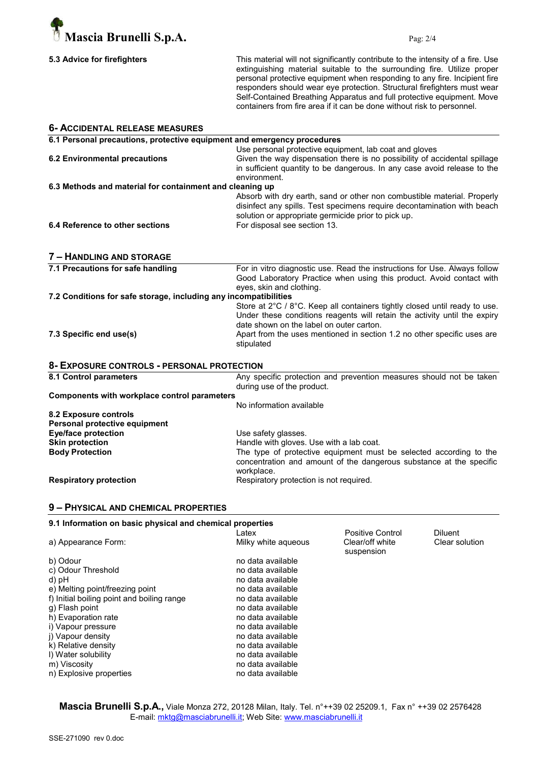

This material will not significantly contribute to the intensity of a fire. Use extinguishing material suitable to the surrounding fire. Utilize proper personal protective equipment when responding to any fire. Incipient fire responders should wear eye protection. Structural firefighters must wear Self-Contained Breathing Apparatus and full protective equipment. Move containers from fire area if it can be done without risk to personnel.

| <b>6- ACCIDENTAL RELEASE MEASURES</b>                                   |                                         |                                                                            |                |
|-------------------------------------------------------------------------|-----------------------------------------|----------------------------------------------------------------------------|----------------|
| 6.1 Personal precautions, protective equipment and emergency procedures |                                         |                                                                            |                |
|                                                                         |                                         | Use personal protective equipment, lab coat and gloves                     |                |
| <b>6.2 Environmental precautions</b>                                    |                                         | Given the way dispensation there is no possibility of accidental spillage  |                |
|                                                                         |                                         | in sufficient quantity to be dangerous. In any case avoid release to the   |                |
|                                                                         | environment.                            |                                                                            |                |
| 6.3 Methods and material for containment and cleaning up                |                                         |                                                                            |                |
|                                                                         |                                         | Absorb with dry earth, sand or other non combustible material. Properly    |                |
|                                                                         |                                         | disinfect any spills. Test specimens require decontamination with beach    |                |
|                                                                         |                                         | solution or appropriate germicide prior to pick up.                        |                |
| 6.4 Reference to other sections                                         | For disposal see section 13.            |                                                                            |                |
| 7 - HANDLING AND STORAGE                                                |                                         |                                                                            |                |
| 7.1 Precautions for safe handling                                       |                                         | For in vitro diagnostic use. Read the instructions for Use. Always follow  |                |
|                                                                         |                                         | Good Laboratory Practice when using this product. Avoid contact with       |                |
|                                                                         | eyes, skin and clothing.                |                                                                            |                |
| 7.2 Conditions for safe storage, including any incompatibilities        |                                         |                                                                            |                |
|                                                                         |                                         | Store at 2°C / 8°C. Keep all containers tightly closed until ready to use. |                |
|                                                                         |                                         | Under these conditions reagents will retain the activity until the expiry  |                |
|                                                                         |                                         | date shown on the label on outer carton.                                   |                |
| 7.3 Specific end use(s)                                                 | stipulated                              | Apart from the uses mentioned in section 1.2 no other specific uses are    |                |
| 8- EXPOSURE CONTROLS - PERSONAL PROTECTION                              |                                         |                                                                            |                |
| 8.1 Control parameters                                                  |                                         | Any specific protection and prevention measures should not be taken        |                |
|                                                                         | during use of the product.              |                                                                            |                |
| <b>Components with workplace control parameters</b>                     |                                         |                                                                            |                |
|                                                                         | No information available                |                                                                            |                |
| 8.2 Exposure controls                                                   |                                         |                                                                            |                |
| Personal protective equipment                                           |                                         |                                                                            |                |
| <b>Eye/face protection</b>                                              | Use safety glasses.                     |                                                                            |                |
| <b>Skin protection</b>                                                  |                                         | Handle with gloves. Use with a lab coat.                                   |                |
| <b>Body Protection</b>                                                  |                                         | The type of protective equipment must be selected according to the         |                |
|                                                                         |                                         | concentration and amount of the dangerous substance at the specific        |                |
|                                                                         | workplace.                              |                                                                            |                |
| <b>Respiratory protection</b>                                           | Respiratory protection is not required. |                                                                            |                |
| 9 - PHYSICAL AND CHEMICAL PROPERTIES                                    |                                         |                                                                            |                |
| 9.1 Information on basic physical and chemical properties               |                                         |                                                                            |                |
|                                                                         | Latex                                   | <b>Positive Control</b>                                                    | <b>Diluent</b> |

| Milky white aqueous | Clear/off white<br>suspension | Clear solution |
|---------------------|-------------------------------|----------------|
| no data available   |                               |                |
| no data available   |                               |                |
| no data available   |                               |                |
| no data available   |                               |                |
| no data available   |                               |                |
| no data available   |                               |                |
| no data available   |                               |                |
| no data available   |                               |                |
| no data available   |                               |                |
| no data available   |                               |                |
| no data available   |                               |                |
| no data available   |                               |                |
| no data available   |                               |                |
|                     |                               |                |

Mascia Brunelli S.p.A., Viale Monza 272, 20128 Milan, Italy. Tel. n°++39 02 25209.1, Fax n° ++39 02 2576428 E-mail: mktg@masciabrunelli.it; Web Site: www.masciabrunelli.it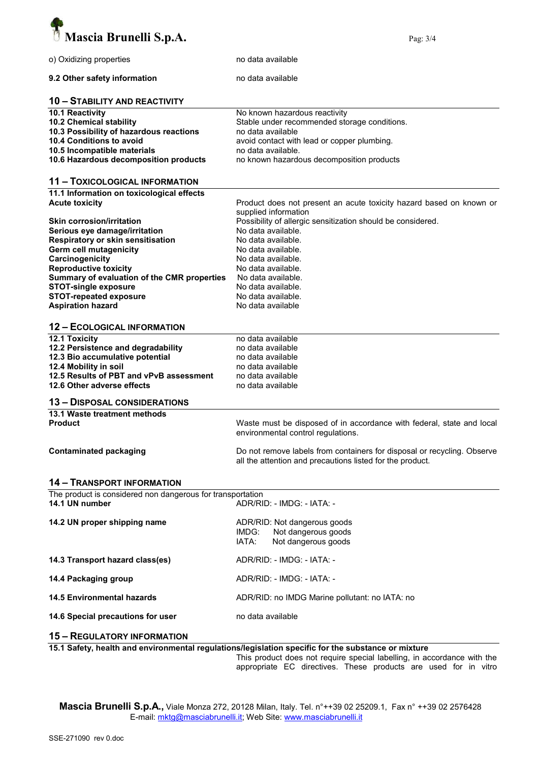

| o) Oxidizing properties                                    | no data available                                                                                           |
|------------------------------------------------------------|-------------------------------------------------------------------------------------------------------------|
| 9.2 Other safety information                               | no data available                                                                                           |
| <b>10 - STABILITY AND REACTIVITY</b>                       |                                                                                                             |
| 10.1 Reactivity                                            | No known hazardous reactivity                                                                               |
| 10.2 Chemical stability                                    | Stable under recommended storage conditions.                                                                |
|                                                            |                                                                                                             |
| 10.3 Possibility of hazardous reactions                    | no data available                                                                                           |
| 10.4 Conditions to avoid                                   | avoid contact with lead or copper plumbing.                                                                 |
| 10.5 Incompatible materials                                | no data available.                                                                                          |
| 10.6 Hazardous decomposition products                      | no known hazardous decomposition products                                                                   |
| 11 - TOXICOLOGICAL INFORMATION                             |                                                                                                             |
| 11.1 Information on toxicological effects                  |                                                                                                             |
| <b>Acute toxicity</b>                                      | Product does not present an acute toxicity hazard based on known or                                         |
|                                                            | supplied information                                                                                        |
|                                                            |                                                                                                             |
| <b>Skin corrosion/irritation</b>                           | Possibility of allergic sensitization should be considered.                                                 |
| Serious eye damage/irritation                              | No data available.                                                                                          |
| Respiratory or skin sensitisation                          | No data available.                                                                                          |
| Germ cell mutagenicity                                     | No data available.                                                                                          |
| Carcinogenicity                                            | No data available.                                                                                          |
| <b>Reproductive toxicity</b>                               | No data available.                                                                                          |
|                                                            |                                                                                                             |
| Summary of evaluation of the CMR properties                | No data available.                                                                                          |
| <b>STOT-single exposure</b>                                | No data available.                                                                                          |
| <b>STOT-repeated exposure</b>                              | No data available.                                                                                          |
| <b>Aspiration hazard</b>                                   | No data available                                                                                           |
| <b>12 - ECOLOGICAL INFORMATION</b>                         |                                                                                                             |
|                                                            |                                                                                                             |
| 12.1 Toxicity                                              | no data available                                                                                           |
| 12.2 Persistence and degradability                         | no data available                                                                                           |
| 12.3 Bio accumulative potential                            | no data available                                                                                           |
| 12.4 Mobility in soil                                      | no data available                                                                                           |
| 12.5 Results of PBT and vPvB assessment                    | no data available                                                                                           |
| 12.6 Other adverse effects                                 | no data available                                                                                           |
|                                                            |                                                                                                             |
| <b>13 - DISPOSAL CONSIDERATIONS</b>                        |                                                                                                             |
| 13.1 Waste treatment methods                               |                                                                                                             |
| <b>Product</b>                                             | Waste must be disposed of in accordance with federal, state and local<br>environmental control regulations. |
| <b>Contaminated packaging</b>                              | Do not remove labels from containers for disposal or recycling. Observe                                     |
|                                                            | all the attention and precautions listed for the product.                                                   |
| <b>14 - TRANSPORT INFORMATION</b>                          |                                                                                                             |
| The product is considered non dangerous for transportation |                                                                                                             |
| 14.1 UN number                                             | ADR/RID: - IMDG: - IATA: -                                                                                  |
| 14.2 UN proper shipping name                               | ADR/RID: Not dangerous goods                                                                                |
|                                                            | Not dangerous goods<br>IMDG:                                                                                |
|                                                            | IATA:                                                                                                       |
|                                                            | Not dangerous goods                                                                                         |
| 14.3 Transport hazard class(es)                            | ADR/RID: - IMDG: - IATA: -                                                                                  |
| 14.4 Packaging group                                       | ADR/RID: - IMDG: - IATA: -                                                                                  |
| <b>14.5 Environmental hazards</b>                          | ADR/RID: no IMDG Marine pollutant: no IATA: no                                                              |
| 14.6 Special precautions for user                          | no data available                                                                                           |
| <b>15 - REGULATORY INFORMATION</b>                         |                                                                                                             |
|                                                            | 15.1 Safety, hoalth and environmental requistions/legislation specific for the substance or mixture         |

15.1 Safety, health and environmental regulations/legislation specific for the substance or mixture

This product does not require special labelling, in accordance with the appropriate EC directives. These products are used for in vitro

Mascia Brunelli S.p.A., Viale Monza 272, 20128 Milan, Italy. Tel. n°++39 02 25209.1, Fax n° ++39 02 2576428 E-mail: mktg@masciabrunelli.it; Web Site: www.masciabrunelli.it